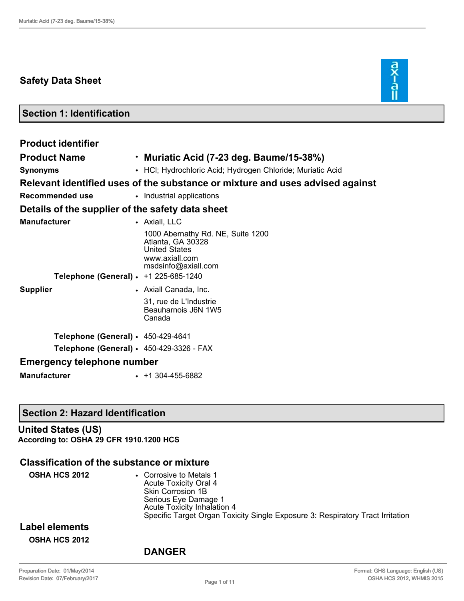# **Safety Data Sheet**



**Section 1: Identification**

| <b>Product identifier</b>                        |                                                                                                                         |  |  |
|--------------------------------------------------|-------------------------------------------------------------------------------------------------------------------------|--|--|
| <b>Product Name</b>                              | $\cdot$ Muriatic Acid (7-23 deg. Baume/15-38%)                                                                          |  |  |
| <b>Synonyms</b>                                  | • HCI; Hydrochloric Acid; Hydrogen Chloride; Muriatic Acid                                                              |  |  |
|                                                  | Relevant identified uses of the substance or mixture and uses advised against                                           |  |  |
| <b>Recommended use</b>                           | • Industrial applications                                                                                               |  |  |
| Details of the supplier of the safety data sheet |                                                                                                                         |  |  |
| <b>Manufacturer</b>                              | • Axiall, LLC                                                                                                           |  |  |
| Telephone (General) · +1 225-685-1240            | 1000 Abernathy Rd. NE, Suite 1200<br>Atlanta, GA 30328<br><b>United States</b><br>www.axiall.com<br>msdsinfo@axiall.com |  |  |
| <b>Supplier</b>                                  | • Axiall Canada, Inc.                                                                                                   |  |  |
|                                                  | 31, rue de L'Industrie<br>Beauharnois J6N 1W5<br>Canada                                                                 |  |  |
| Telephone (General) $\cdot$ 450-429-4641         |                                                                                                                         |  |  |
| Telephone (General) $\cdot$ 450-429-3326 - FAX   |                                                                                                                         |  |  |
| <b>Emergency telephone number</b>                |                                                                                                                         |  |  |
| <b>Manufacturer</b>                              | $+1304-455-6882$                                                                                                        |  |  |

### **Section 2: Hazard Identification**

### **United States (US) According to: OSHA 29 CFR 1910.1200 HCS**

### **Classification of the substance or mixture**

| <b>OSHA HCS 2012</b> | • Corrosive to Metals 1<br>Acute Toxicity Oral 4<br>Skin Corrosion 1B<br>Serious Eye Damage 1<br>Acute Toxicity Inhalation 4<br>Specific Target Organ Toxicity Single Exposure 3: Respiratory Tract Irritation |
|----------------------|----------------------------------------------------------------------------------------------------------------------------------------------------------------------------------------------------------------|
|                      |                                                                                                                                                                                                                |

## **Label elements OSHA HCS 2012**

### **DANGER**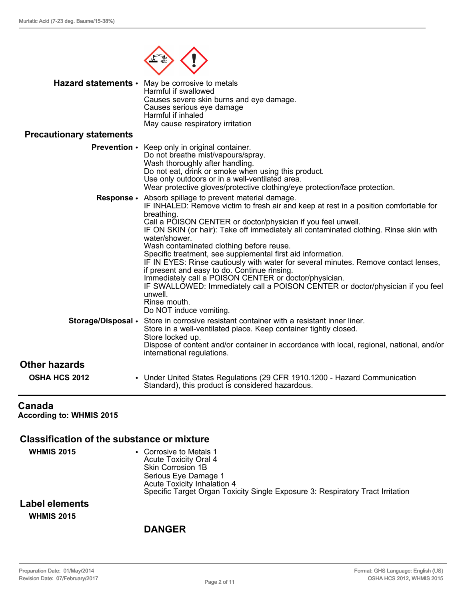

|                                 | <b>Hazard statements •</b> May be corrosive to metals<br>Harmful if swallowed<br>Causes severe skin burns and eye damage.<br>Causes serious eye damage<br>Harmful if inhaled<br>May cause respiratory irritation |
|---------------------------------|------------------------------------------------------------------------------------------------------------------------------------------------------------------------------------------------------------------|
| <b>Precautionary statements</b> |                                                                                                                                                                                                                  |
|                                 | Barance of the contract and contract the second contractor of the second state of the second state of the second                                                                                                 |

#### **Prevention** • Keep only in original container. Do not breathe mist/vapours/spray. Wash thoroughly after handling. Do not eat, drink or smoke when using this product. Use only outdoors or in a well-ventilated area. Wear protective gloves/protective clothing/eye protection/face protection. **Response** • Absorb spillage to prevent material damage. IF INHALED: Remove victim to fresh air and keep at rest in a position comfortable for breathing. Call a POISON CENTER or doctor/physician if you feel unwell.

|                                              | <u>Cali a FOISON CLIVILR OF GOCIOMPHYSICIALLII YOU ICCI UMWEII.</u><br>IF ON SKIN (or hair): Take off immediately all contaminated clothing. Rinse skin with<br>water/shower.<br>Wash contaminated clothing before reuse.                                                                                                                                                |
|----------------------------------------------|--------------------------------------------------------------------------------------------------------------------------------------------------------------------------------------------------------------------------------------------------------------------------------------------------------------------------------------------------------------------------|
|                                              | Specific treatment, see supplemental first aid information.<br>IF IN EYES: Rinse cautiously with water for several minutes. Remove contact lenses,<br>if present and easy to do. Continue rinsing.<br>Immediately call a POISON CENTER or doctor/physician.<br>IF SWALLOWED: Immediately call a POISON CENTER or doctor/physician if you feel<br>unwell.<br>Rinse mouth. |
|                                              | Do NOT induce vomiting.<br>Storage/Disposal • Store in corrosive resistant container with a resistant inner liner.<br>Store in a well-ventilated place. Keep container tightly closed.<br>Store locked up.<br>Dispose of content and/or container in accordance with local, regional, national, and/or                                                                   |
| <b>Other hazards</b><br><b>OSHA HCS 2012</b> | international regulations.<br>• Under United States Regulations (29 CFR 1910.1200 - Hazard Communication<br>Standard), this product is considered hazardous.                                                                                                                                                                                                             |

## **Canada**

**According to: WHMIS 2015**

## **Classification of the substance or mixture**

| <b>WHMIS 2015</b> | • Corrosive to Metals 1<br><b>Acute Toxicity Oral 4</b><br>Skin Corrosion 1B   |
|-------------------|--------------------------------------------------------------------------------|
|                   | Serious Eye Damage 1<br>Acute Toxicity Inhalation 4                            |
|                   | Specific Target Organ Toxicity Single Exposure 3: Respiratory Tract Irritation |
| Label elements    |                                                                                |
| <b>WHMIS 2015</b> |                                                                                |

## **DANGER**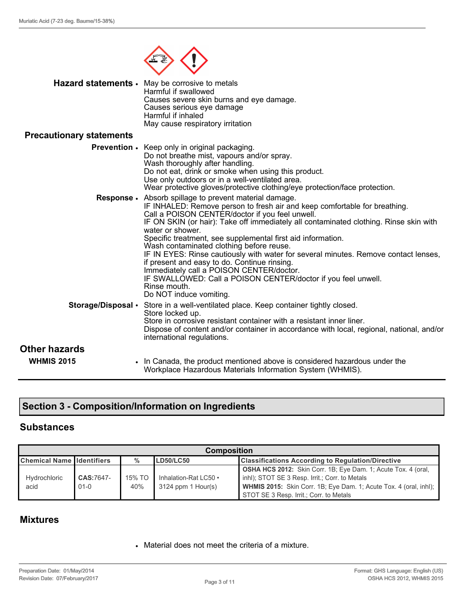

|                                           | Hazard statements • May be corrosive to metals<br>Harmful if swallowed<br>Causes severe skin burns and eye damage.<br>Causes serious eye damage<br>Harmful if inhaled<br>May cause respiratory irritation                                                                                                                                                                                                                                                                                                                                                                                                                                                                                           |
|-------------------------------------------|-----------------------------------------------------------------------------------------------------------------------------------------------------------------------------------------------------------------------------------------------------------------------------------------------------------------------------------------------------------------------------------------------------------------------------------------------------------------------------------------------------------------------------------------------------------------------------------------------------------------------------------------------------------------------------------------------------|
| <b>Precautionary statements</b>           |                                                                                                                                                                                                                                                                                                                                                                                                                                                                                                                                                                                                                                                                                                     |
|                                           | <b>Prevention</b> • Keep only in original packaging.<br>Do not breathe mist, vapours and/or spray.<br>Wash thoroughly after handling.<br>Do not eat, drink or smoke when using this product.<br>Use only outdoors or in a well-ventilated area.<br>Wear protective gloves/protective clothing/eye protection/face protection.                                                                                                                                                                                                                                                                                                                                                                       |
| Response .                                | Absorb spillage to prevent material damage.<br>IF INHALED: Remove person to fresh air and keep comfortable for breathing.<br>Call a POISON CENTER/doctor if you feel unwell.<br>IF ON SKIN (or hair): Take off immediately all contaminated clothing. Rinse skin with<br>water or shower.<br>Specific treatment, see supplemental first aid information.<br>Wash contaminated clothing before reuse.<br>IF IN EYES: Rinse cautiously with water for several minutes. Remove contact lenses,<br>if present and easy to do. Continue rinsing.<br>Immediately call a POISON CENTER/doctor.<br>IF SWALLOWED: Call a POISON CENTER/doctor if you feel unwell.<br>Rinse mouth.<br>Do NOT induce vomiting. |
| Storage/Disposal .                        | Store in a well-ventilated place. Keep container tightly closed.<br>Store locked up.<br>Store in corrosive resistant container with a resistant inner liner.<br>Dispose of content and/or container in accordance with local, regional, national, and/or<br>international regulations.                                                                                                                                                                                                                                                                                                                                                                                                              |
| <b>Other hazards</b><br><b>WHMIS 2015</b> | • In Canada, the product mentioned above is considered hazardous under the<br>Workplace Hazardous Materials Information System (WHMIS).                                                                                                                                                                                                                                                                                                                                                                                                                                                                                                                                                             |

# **Section 3 - Composition/Information on Ingredients**

## **Substances**

| <b>Composition</b>                |                          |               |                                               |                                                                                                                                                                                                                                               |
|-----------------------------------|--------------------------|---------------|-----------------------------------------------|-----------------------------------------------------------------------------------------------------------------------------------------------------------------------------------------------------------------------------------------------|
| <b>Chemical Name Ildentifiers</b> | <b>LD50/LC50</b><br>$\%$ |               |                                               | <b>Classifications According to Regulation/Directive</b>                                                                                                                                                                                      |
| Hydrochloric<br>acid              | CAS:7647-<br>$01 - 0$    | 15% TO<br>40% | Inhalation-Rat LC50 •<br>$3124$ ppm 1 Hour(s) | <b>OSHA HCS 2012:</b> Skin Corr. 1B; Eye Dam. 1; Acute Tox. 4 (oral,<br>inhl); STOT SE 3 Resp. Irrit.; Corr. to Metals<br><b>WHMIS 2015:</b> Skin Corr. 1B; Eye Dam. 1; Acute Tox. 4 (oral, inhl);<br>STOT SE 3 Resp. Irrit.; Corr. to Metals |

## **Mixtures**

• Material does not meet the criteria of a mixture.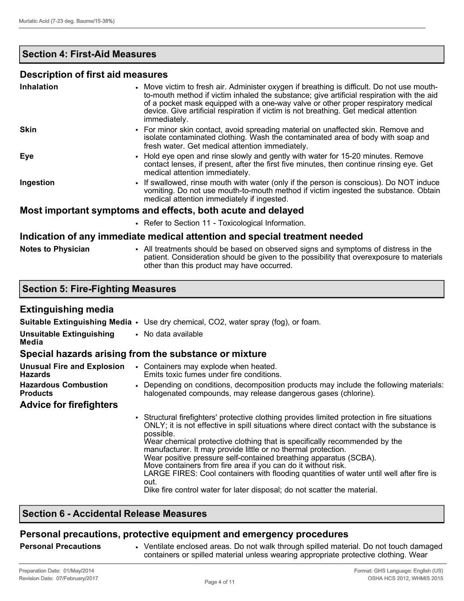## **Section 4: First-Aid Measures**

### **Description of first aid measures**

| <b>Inhalation</b> | • Move victim to fresh air. Administer oxygen if breathing is difficult. Do not use mouth-<br>to-mouth method if victim inhaled the substance; give artificial respiration with the aid<br>of a pocket mask equipped with a one-way valve or other proper respiratory medical<br>device. Give artificial respiration if victim is not breathing. Get medical attention<br>immediately. |
|-------------------|----------------------------------------------------------------------------------------------------------------------------------------------------------------------------------------------------------------------------------------------------------------------------------------------------------------------------------------------------------------------------------------|
| <b>Skin</b>       | • For minor skin contact, avoid spreading material on unaffected skin. Remove and<br>isolate contaminated clothing. Wash the contaminated area of body with soap and<br>fresh water. Get medical attention immediately.                                                                                                                                                                |
| <b>Eye</b>        | • Hold eye open and rinse slowly and gently with water for 15-20 minutes. Remove<br>contact lenses, if present, after the first five minutes, then continue rinsing eye. Get<br>medical attention immediately.                                                                                                                                                                         |
| Ingestion         | • If swallowed, rinse mouth with water (only if the person is conscious). Do NOT induce<br>vomiting. Do not use mouth-to-mouth method if victim ingested the substance. Obtain<br>medical attention immediately if ingested.                                                                                                                                                           |
|                   | Most important symptoms and effects, both acute and delayed                                                                                                                                                                                                                                                                                                                            |
|                   | • Refer to Section 11 - Toxicological Information.                                                                                                                                                                                                                                                                                                                                     |
|                   | الموامعون فمروميناه وبراح والمومري والمسوية والمتلو الموالوميس وفوالمومسيسا يروس والمراقص والموالومرا                                                                                                                                                                                                                                                                                  |

#### **Indication of any immediate medical attention and special treatment needed**

|  | <b>Notes to Physician</b> |
|--|---------------------------|
|  |                           |

**Notes to Physician** • All treatments should be based on observed signs and symptoms of distress in the patient. Consideration should be given to the possibility that overexposure to materials other than this product may have occurred.

|  |  | <b>Section 5: Fire-Fighting Measures</b> |
|--|--|------------------------------------------|
|  |  |                                          |

### **Extinguishing media**

|                                                     | <b>Suitable Extinguishing Media <math>\cdot</math></b> Use dry chemical, CO2, water spray (fog), or foam.                                                                                                                                                                                                                                                                                                                                                                                                                                                                                                                                                                 |  |  |
|-----------------------------------------------------|---------------------------------------------------------------------------------------------------------------------------------------------------------------------------------------------------------------------------------------------------------------------------------------------------------------------------------------------------------------------------------------------------------------------------------------------------------------------------------------------------------------------------------------------------------------------------------------------------------------------------------------------------------------------------|--|--|
| <b>Unsuitable Extinguishing</b><br>Media            | • No data available                                                                                                                                                                                                                                                                                                                                                                                                                                                                                                                                                                                                                                                       |  |  |
|                                                     | Special hazards arising from the substance or mixture                                                                                                                                                                                                                                                                                                                                                                                                                                                                                                                                                                                                                     |  |  |
| <b>Unusual Fire and Explosion</b><br><b>Hazards</b> | • Containers may explode when heated.<br>Emits toxic fumes under fire conditions.                                                                                                                                                                                                                                                                                                                                                                                                                                                                                                                                                                                         |  |  |
| <b>Hazardous Combustion</b><br>Products             | • Depending on conditions, decomposition products may include the following materials:<br>halogenated compounds, may release dangerous gases (chlorine).                                                                                                                                                                                                                                                                                                                                                                                                                                                                                                                  |  |  |
| <b>Advice for firefighters</b>                      |                                                                                                                                                                                                                                                                                                                                                                                                                                                                                                                                                                                                                                                                           |  |  |
|                                                     | • Structural firefighters' protective clothing provides limited protection in fire situations<br>ONLY; it is not effective in spill situations where direct contact with the substance is<br>possible.<br>Wear chemical protective clothing that is specifically recommended by the<br>manufacturer. It may provide little or no thermal protection.<br>Wear positive pressure self-contained breathing apparatus (SCBA).<br>Move containers from fire area if you can do it without risk.<br>LARGE FIRES: Cool containers with flooding quantities of water until well after fire is<br>out.<br>Dike fire control water for later disposal; do not scatter the material. |  |  |

## **Section 6 - Accidental Release Measures**

## **Personal precautions, protective equipment and emergency procedures**

**Personal Precautions** • Ventilate enclosed areas. Do not walk through spilled material. Do not touch damaged containers or spilled material unless wearing appropriate protective clothing. Wear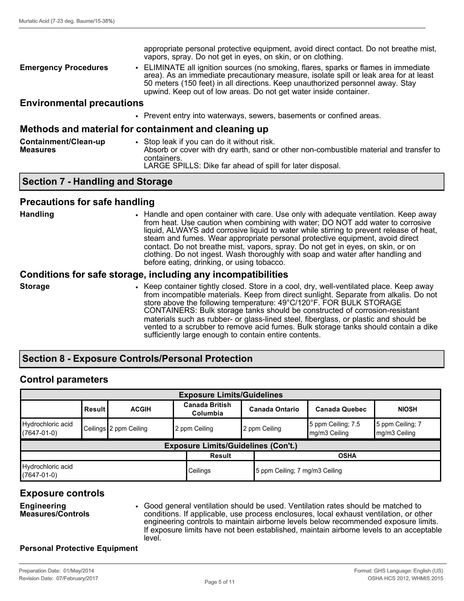|                                  | appropriate personal protective equipment, avoid direct contact. Do not breathe mist,<br>vapors, spray. Do not get in eyes, on skin, or on clothing.                                                                                                                                                                                |
|----------------------------------|-------------------------------------------------------------------------------------------------------------------------------------------------------------------------------------------------------------------------------------------------------------------------------------------------------------------------------------|
| <b>Emergency Procedures</b>      | • ELIMINATE all ignition sources (no smoking, flares, sparks or flames in immediate<br>area). As an immediate precautionary measure, isolate spill or leak area for at least<br>50 meters (150 feet) in all directions. Keep unauthorized personnel away. Stay<br>upwind. Keep out of low areas. Do not get water inside container. |
| <b>Environmental precautions</b> |                                                                                                                                                                                                                                                                                                                                     |

## • Prevent entry into waterways, sewers, basements or confined areas.

#### **Methods and material for containment and cleaning up**

| Containment/Clean-up<br><b>Measures</b> | Stop leak if you can do it without risk.<br>Absorb or cover with dry earth, sand or other non-combustible material and transfer to<br>containers. |
|-----------------------------------------|---------------------------------------------------------------------------------------------------------------------------------------------------|
|                                         | LARGE SPILLS: Dike far ahead of spill for later disposal.                                                                                         |

### **Section 7 - Handling and Storage**

### **Precautions for safe handling**

- 
- **Handling Fandle and open container with care. Use only with adequate ventilation. Keep away** from heat. Use caution when combining with water; DO NOT add water to corrosive liquid, ALWAYS add corrosive liquid to water while stirring to prevent release of heat, steam and fumes. Wear appropriate personal protective equipment, avoid direct contact. Do not breathe mist, vapors, spray. Do not get in eyes, on skin, or on clothing. Do not ingest. Wash thoroughly with soap and water after handling and before eating, drinking, or using tobacco.

### **Conditions for safe storage, including any incompatibilities**

**Storage** • **• Keep container tightly closed. Store in a cool, dry, well-ventilated place. Keep away** from incompatible materials. Keep from direct sunlight. Separate from alkalis. Do not store above the following temperature: 49°C/120°F. FOR BULK STORAGE CONTAINERS: Bulk storage tanks should be constructed of corrosion-resistant materials such as rubber- or glass-lined steel, fiberglass, or plastic and should be vented to a scrubber to remove acid fumes. Bulk storage tanks should contain a dike sufficiently large enough to contain entire contents.

### **Section 8 - Exposure Controls/Personal Protection**

### **Control parameters**

| <b>Exposure Limits/Guidelines</b>                                                    |                                                                                                                                     |                        |                                            |               |                                     |                                     |  |
|--------------------------------------------------------------------------------------|-------------------------------------------------------------------------------------------------------------------------------------|------------------------|--------------------------------------------|---------------|-------------------------------------|-------------------------------------|--|
|                                                                                      | <b>Canada British</b><br><b>Canada Ontario</b><br><b>Result</b><br><b>Canada Quebec</b><br><b>NIOSH</b><br><b>ACGIH</b><br>Columbia |                        |                                            |               |                                     |                                     |  |
| Hydrochloric acid<br>$(7647 - 01 - 0)$                                               |                                                                                                                                     | Ceilings 2 ppm Ceiling | 12 ppm Ceiling                             | 2 ppm Ceiling | 5 ppm Ceiling; 7.5<br>mg/m3 Ceiling | 5 ppm Ceiling; 7<br>$mg/m3$ Ceiling |  |
|                                                                                      |                                                                                                                                     |                        | <b>Exposure Limits/Guidelines (Con't.)</b> |               |                                     |                                     |  |
| <b>Result</b><br><b>OSHA</b>                                                         |                                                                                                                                     |                        |                                            |               |                                     |                                     |  |
| Hydrochloric acid<br>Ceilings<br>5 ppm Ceiling; 7 mg/m3 Ceiling<br>$(7647 - 01 - 0)$ |                                                                                                                                     |                        |                                            |               |                                     |                                     |  |

### **Exposure controls**

**Engineering Measures/Controls** • Good general ventilation should be used. Ventilation rates should be matched to conditions. If applicable, use process enclosures, local exhaust ventilation, or other engineering controls to maintain airborne levels below recommended exposure limits. If exposure limits have not been established, maintain airborne levels to an acceptable level.

#### **Personal Protective Equipment**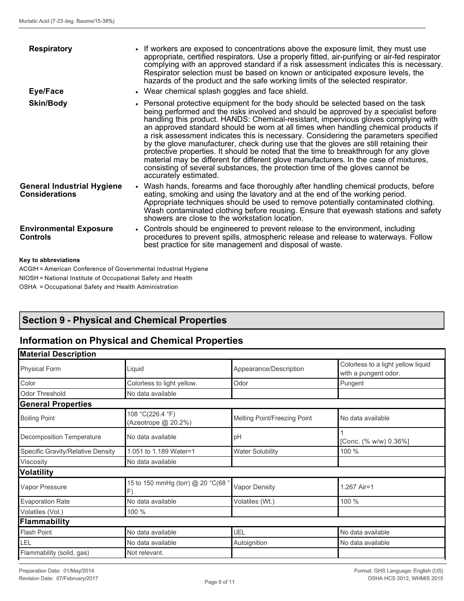| <b>Respiratory</b>                                         | • If workers are exposed to concentrations above the exposure limit, they must use<br>appropriate, certified respirators. Use a properly fitted, air-purifying or air-fed respirator<br>complying with an approved standard if a risk assessment indicates this is necessary.<br>Respirator selection must be based on known or anticipated exposure levels, the                                                                                                                                                                                                                                                                                                                                                                                                                                                                   |
|------------------------------------------------------------|------------------------------------------------------------------------------------------------------------------------------------------------------------------------------------------------------------------------------------------------------------------------------------------------------------------------------------------------------------------------------------------------------------------------------------------------------------------------------------------------------------------------------------------------------------------------------------------------------------------------------------------------------------------------------------------------------------------------------------------------------------------------------------------------------------------------------------|
|                                                            | hazards of the product and the safe working limits of the selected respirator.                                                                                                                                                                                                                                                                                                                                                                                                                                                                                                                                                                                                                                                                                                                                                     |
| Eye/Face                                                   | • Wear chemical splash goggles and face shield.                                                                                                                                                                                                                                                                                                                                                                                                                                                                                                                                                                                                                                                                                                                                                                                    |
| <b>Skin/Body</b>                                           | • Personal protective equipment for the body should be selected based on the task<br>being performed and the risks involved and should be approved by a specialist before<br>handling this product. HANDS: Chemical-resistant, impervious gloves complying with<br>an approved standard should be worn at all times when handling chemical products if<br>a risk assessment indicates this is necessary. Considering the parameters specified<br>by the glove manufacturer, check during use that the gloves are still retaining their<br>protective properties. It should be noted that the time to breakthrough for any glove<br>material may be different for different glove manufacturers. In the case of mixtures,<br>consisting of several substances, the protection time of the gloves cannot be<br>accurately estimated. |
| <b>General Industrial Hygiene</b><br><b>Considerations</b> | • Wash hands, forearms and face thoroughly after handling chemical products, before<br>eating, smoking and using the lavatory and at the end of the working period.<br>Appropriate techniques should be used to remove potentially contaminated clothing.<br>Wash contaminated clothing before reusing. Ensure that eyewash stations and safety<br>showers are close to the workstation location.                                                                                                                                                                                                                                                                                                                                                                                                                                  |
| <b>Environmental Exposure</b><br><b>Controls</b>           | • Controls should be engineered to prevent release to the environment, including<br>procedures to prevent spills, atmospheric release and release to waterways. Follow<br>best practice for site management and disposal of waste.                                                                                                                                                                                                                                                                                                                                                                                                                                                                                                                                                                                                 |
| Key to abbreviations                                       |                                                                                                                                                                                                                                                                                                                                                                                                                                                                                                                                                                                                                                                                                                                                                                                                                                    |

ACGIH = American Conference of Governmental Industrial Hygiene NIOSH = National Institute of Occupational Safety and Health OSHA = Occupational Safety and Health Administration

# **Section 9 - Physical and Chemical Properties**

# **Information on Physical and Chemical Properties**

| <b>Material Description</b>       |                                         |                              |                                                            |
|-----------------------------------|-----------------------------------------|------------------------------|------------------------------------------------------------|
| <b>Physical Form</b>              | Liquid                                  | Appearance/Description       | Colorless to a light yellow liquid<br>with a pungent odor. |
| Color                             | Colorless to light yellow.              | Odor                         | Pungent                                                    |
| <b>Odor Threshold</b>             | No data available                       |                              |                                                            |
| <b>General Properties</b>         |                                         |                              |                                                            |
| <b>Boiling Point</b>              | 108 °C(226.4 °F)<br>(Azeotrope @ 20.2%) | Melting Point/Freezing Point | No data available                                          |
| Decomposition Temperature         | No data available                       | pH                           | [Conc. (% w/w) 0.36%]                                      |
| Specific Gravity/Relative Density | 1.051 to 1.189 Water=1                  | <b>Water Solubility</b>      | 100 %                                                      |
| Viscosity                         | No data available                       |                              |                                                            |
| <b>Volatility</b>                 |                                         |                              |                                                            |
| Vapor Pressure                    | 15 to 150 mmHg (torr) @ 20 °C(68 °<br>F | <b>Vapor Density</b>         | 1.267 Air=1                                                |
| <b>Evaporation Rate</b>           | No data available                       | Volatiles (Wt.)              | 100 %                                                      |
| Volatiles (Vol.)                  | 100 %                                   |                              |                                                            |
| <b>Flammability</b>               |                                         |                              |                                                            |
| <b>Flash Point</b>                | No data available                       | <b>UEL</b>                   | No data available                                          |
| LEL                               | No data available                       | Autoignition                 | No data available                                          |
| Flammability (solid, gas)         | Not relevant.                           |                              |                                                            |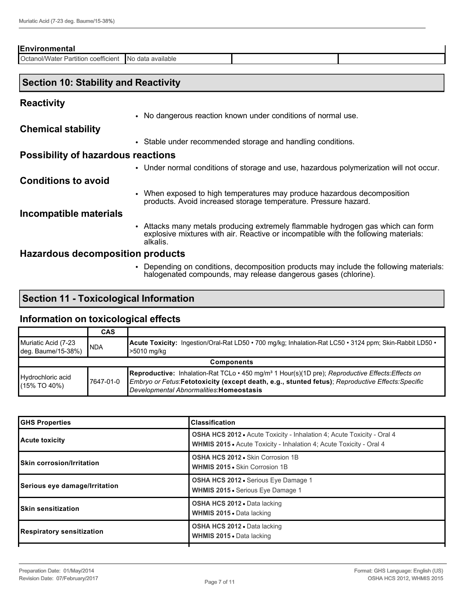| <b>Environmental</b>                   |                        |  |  |  |  |
|----------------------------------------|------------------------|--|--|--|--|
| Cctanol/Water Partition<br>coefficient | data available<br>IN C |  |  |  |  |
|                                        |                        |  |  |  |  |

## **Section 10: Stability and Reactivity**

## **Reactivity**

• No dangerous reaction known under conditions of normal use.

**Chemical stability**

• Stable under recommended storage and handling conditions.

### **Possibility of hazardous reactions**

• Under normal conditions of storage and use, hazardous polymerization will not occur.

### **Conditions to avoid**

• When exposed to high temperatures may produce hazardous decomposition products. Avoid increased storage temperature. Pressure hazard.

### **Incompatible materials**

• Attacks many metals producing extremely flammable hydrogen gas which can form explosive mixtures with air. Reactive or incompatible with the following materials: alkalis.

### **Hazardous decomposition products**

• Depending on conditions, decomposition products may include the following materials: halogenated compounds, may release dangerous gases (chlorine).

## **Section 11 - Toxicological Information**

### **Information on toxicological effects**

|                                           | <b>CAS</b>        |                                                                                                                                                                                                                                                                      |  |  |  |
|-------------------------------------------|-------------------|----------------------------------------------------------------------------------------------------------------------------------------------------------------------------------------------------------------------------------------------------------------------|--|--|--|
| Muriatic Acid (7-23<br>deg. Baume/15-38%) | INDA              | <b>Acute Toxicity:</b> Ingestion/Oral-Rat LD50 • 700 mg/kg; Inhalation-Rat LC50 • 3124 ppm; Skin-Rabbit LD50 •<br>>5010 mg/kg                                                                                                                                        |  |  |  |
|                                           | <b>Components</b> |                                                                                                                                                                                                                                                                      |  |  |  |
| Hydrochloric acid<br>$(15\%$ TO 40%)      | 17647-01-0        | Reproductive: Inhalation-Rat TCLo · 450 mg/m <sup>3</sup> 1 Hour(s)(1D pre); Reproductive Effects: Effects on<br>Embryo or Fetus:Fetotoxicity (except death, e.g., stunted fetus); Reproductive Effects: Specific<br>Developmental Abnormalities: <b>Homeostasis</b> |  |  |  |

| <b>GHS Properties</b>             | <b>Classification</b>                                                                                                                                       |
|-----------------------------------|-------------------------------------------------------------------------------------------------------------------------------------------------------------|
| Acute toxicity                    | <b>OSHA HCS 2012 •</b> Acute Toxicity - Inhalation 4; Acute Toxicity - Oral 4<br><b>WHMIS 2015 • Acute Toxicity - Inhalation 4: Acute Toxicity - Oral 4</b> |
| <b>ISkin corrosion/Irritation</b> | OSHA HCS 2012 . Skin Corrosion 1B<br><b>WHMIS 2015 • Skin Corrosion 1B</b>                                                                                  |
| Serious eye damage/Irritation     | <b>OSHA HCS 2012 •</b> Serious Eye Damage 1<br><b>WHMIS 2015 •</b> Serious Eye Damage 1                                                                     |
| <b>ISkin sensitization</b>        | <b>OSHA HCS 2012 • Data lacking</b><br><b>WHMIS 2015</b> • Data lacking                                                                                     |
| Respiratory sensitization         | <b>OSHA HCS 2012 • Data lacking</b><br><b>WHMIS 2015</b> • Data lacking                                                                                     |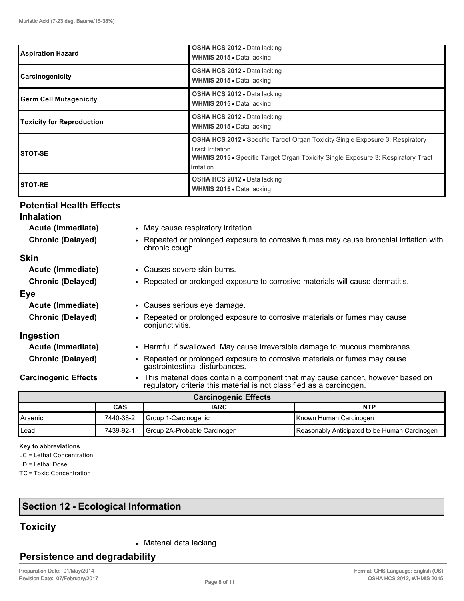| <b>Aspiration Hazard</b>         | OSHA HCS 2012 . Data lacking<br><b>WHMIS 2015 • Data lacking</b>                                                                                                                                                  |
|----------------------------------|-------------------------------------------------------------------------------------------------------------------------------------------------------------------------------------------------------------------|
| <b>Carcinogenicity</b>           | <b>OSHA HCS 2012 - Data lacking</b><br><b>WHMIS 2015 - Data lacking</b>                                                                                                                                           |
| <b>Germ Cell Mutagenicity</b>    | <b>OSHA HCS 2012 • Data lacking</b><br><b>WHMIS 2015 • Data lacking</b>                                                                                                                                           |
| <b>Toxicity for Reproduction</b> | <b>OSHA HCS 2012 • Data lacking</b><br><b>WHMIS 2015 - Data lacking</b>                                                                                                                                           |
| ISTOT-SE                         | OSHA HCS 2012 • Specific Target Organ Toxicity Single Exposure 3: Respiratory<br><b>Tract Irritation</b><br><b>WHMIS 2015 •</b> Specific Target Organ Toxicity Single Exposure 3: Respiratory Tract<br>Irritation |
| <b>ISTOT-RE</b>                  | <b>OSHA HCS 2012 • Data lacking</b><br><b>WHMIS 2015 • Data lacking</b>                                                                                                                                           |

### **Potential Health Effects**

| <b>Inhalation</b>           |                                                                                                                                                                     |  |  |
|-----------------------------|---------------------------------------------------------------------------------------------------------------------------------------------------------------------|--|--|
| Acute (Immediate)           | • May cause respiratory irritation.                                                                                                                                 |  |  |
| <b>Chronic (Delayed)</b>    | Repeated or prolonged exposure to corrosive fumes may cause bronchial irritation with<br>$\bullet$<br>chronic cough.                                                |  |  |
| <b>Skin</b>                 |                                                                                                                                                                     |  |  |
| Acute (Immediate)           | • Causes severe skin burns.                                                                                                                                         |  |  |
| <b>Chronic (Delayed)</b>    | • Repeated or prolonged exposure to corrosive materials will cause dermatitis.                                                                                      |  |  |
| <b>Eye</b>                  |                                                                                                                                                                     |  |  |
| Acute (Immediate)           | • Causes serious eye damage.                                                                                                                                        |  |  |
| <b>Chronic (Delayed)</b>    | Repeated or prolonged exposure to corrosive materials or fumes may cause<br>conjunctivitis.                                                                         |  |  |
| Ingestion                   |                                                                                                                                                                     |  |  |
| Acute (Immediate)           | • Harmful if swallowed. May cause irreversible damage to mucous membranes.                                                                                          |  |  |
| <b>Chronic (Delayed)</b>    | Repeated or prolonged exposure to corrosive materials or fumes may cause<br>$\bullet$<br>gastrointestinal disturbances.                                             |  |  |
| <b>Carcinogenic Effects</b> | This material does contain a component that may cause cancer, however based on<br>$\bullet$<br>regulatory criteria this material is not classified as a carcinogen. |  |  |
| <b>Carcinogenic Effects</b> |                                                                                                                                                                     |  |  |

| <b>Carcillogenic Ellects</b> |                                  |                               |                                               |  |  |
|------------------------------|----------------------------------|-------------------------------|-----------------------------------------------|--|--|
|                              | <b>CAS</b><br><b>IARC</b><br>NTP |                               |                                               |  |  |
| <b>I</b> Arsenic             | 7440-38-2                        | <b>I</b> Group 1-Carcinogenic | Known Human Carcinogen                        |  |  |
| <b>I</b> Lead                | 7439-92-1                        | Group 2A-Probable Carcinogen  | Reasonably Anticipated to be Human Carcinogen |  |  |

#### **Key to abbreviations**

LC = Lethal Concentration

LD = Lethal Dose

TC = Toxic Concentration

# **Section 12 - Ecological Information**

# **Toxicity**

• Material data lacking.

## **Persistence and degradability**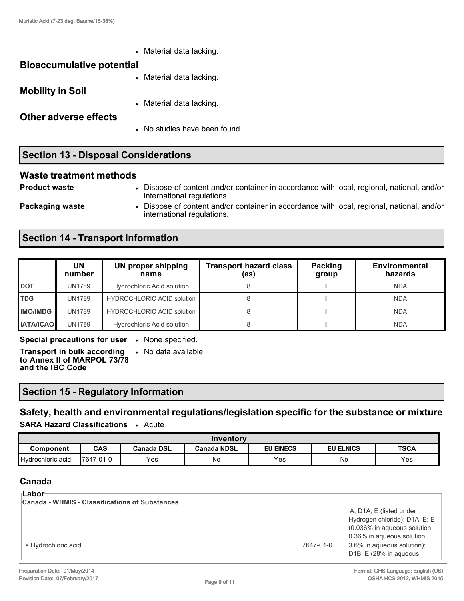| $\bullet$                        | Material data lacking.        |
|----------------------------------|-------------------------------|
| <b>Bioaccumulative potential</b> |                               |
| $\bullet$                        | Material data lacking.        |
| <b>Mobility in Soil</b>          |                               |
| $\bullet$                        | Material data lacking.        |
| <b>Other adverse effects</b>     |                               |
|                                  | • No studies have been found. |
|                                  |                               |

## **Section 13 - Disposal Considerations**

#### **Waste treatment methods**

**Product waste** • Dispose of content and/or container in accordance with local, regional, national, and/or international regulations.

**Packaging waste** • Dispose of content and/or container in accordance with local, regional, national, and/or

## **Section 14 - Transport Information**

|                  | UN<br>number | UN proper shipping<br>name        | <b>Transport hazard class</b><br>(es) | Packing<br>group | Environmental<br>hazards |
|------------------|--------------|-----------------------------------|---------------------------------------|------------------|--------------------------|
| <b>DOT</b>       | UN1789       | <b>Hydrochloric Acid solution</b> |                                       |                  | <b>NDA</b>               |
| <b>TDG</b>       | UN1789       | <b>HYDROCHLORIC ACID solution</b> |                                       |                  | <b>NDA</b>               |
| <b>IMO/IMDG</b>  | UN1789       | <b>HYDROCHLORIC ACID solution</b> |                                       |                  | <b>NDA</b>               |
| <b>IATA/ICAO</b> | UN1789       | <b>Hydrochloric Acid solution</b> |                                       |                  | <b>NDA</b>               |

**Special precautions for user** • None specified.

**Transport in bulk according to Annex II of MARPOL 73/78 and the IBC Code**

• No data available

international regulations.

## **Section 15 - Regulatory Information**

**Safety, health and environmental regulations/legislation specific for the substance or mixture SARA Hazard Classifications** • Acute

| Inventory         |            |            |             |                  |                  |             |
|-------------------|------------|------------|-------------|------------------|------------------|-------------|
| Component         | <b>CAS</b> | Canada DSL | Canada NDSL | <b>EU EINECS</b> | <b>EU ELNICS</b> | <b>TSCA</b> |
| Hydrochloric acid | 7647-01-0  | Yes        | No          | Yes              | No               | Yes         |

## **Canada**

| ⊺Labor<br><b>Canada - WHMIS - Classifications of Substances</b> |           |                                                                                                                                                                                             |
|-----------------------------------------------------------------|-----------|---------------------------------------------------------------------------------------------------------------------------------------------------------------------------------------------|
| • Hydrochloric acid                                             | 7647-01-0 | A, D1A, E (listed under<br>Hydrogen chloride); D1A, E; E<br>(0.036% in aqueous solution,<br>0.36% in aqueous solution.<br>3.6% in aqueous solution);<br>D <sub>1</sub> B, E (28% in aqueous |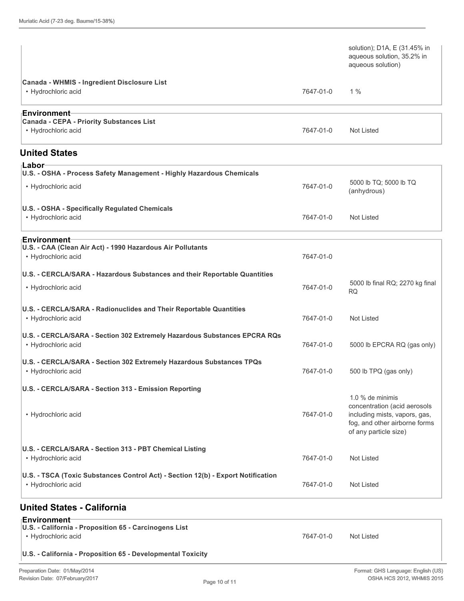|                                                                                                         |           | solution); D1A, E (31.45% in<br>aqueous solution, 35.2% in<br>aqueous solution)                                                             |
|---------------------------------------------------------------------------------------------------------|-----------|---------------------------------------------------------------------------------------------------------------------------------------------|
| Canada - WHMIS - Ingredient Disclosure List<br>• Hydrochloric acid                                      | 7647-01-0 | $1\%$                                                                                                                                       |
| ⊦Environment<br><b>Canada - CEPA - Priority Substances List</b><br>• Hydrochloric acid                  | 7647-01-0 | Not Listed                                                                                                                                  |
| <b>United States</b>                                                                                    |           |                                                                                                                                             |
| ⊦Labor<br>U.S. - OSHA - Process Safety Management - Highly Hazardous Chemicals                          |           |                                                                                                                                             |
| • Hydrochloric acid                                                                                     | 7647-01-0 | 5000 lb TQ; 5000 lb TQ<br>(anhydrous)                                                                                                       |
| U.S. - OSHA - Specifically Regulated Chemicals<br>• Hydrochloric acid                                   | 7647-01-0 | <b>Not Listed</b>                                                                                                                           |
| ⊧Environment<br>U.S. - CAA (Clean Air Act) - 1990 Hazardous Air Pollutants<br>• Hydrochloric acid       | 7647-01-0 |                                                                                                                                             |
| U.S. - CERCLA/SARA - Hazardous Substances and their Reportable Quantities                               |           | 5000 lb final RQ; 2270 kg final                                                                                                             |
| • Hydrochloric acid                                                                                     | 7647-01-0 | <b>RQ</b>                                                                                                                                   |
| U.S. - CERCLA/SARA - Radionuclides and Their Reportable Quantities<br>• Hydrochloric acid               | 7647-01-0 | <b>Not Listed</b>                                                                                                                           |
| U.S. - CERCLA/SARA - Section 302 Extremely Hazardous Substances EPCRA RQs<br>• Hydrochloric acid        | 7647-01-0 | 5000 lb EPCRA RQ (gas only)                                                                                                                 |
| U.S. - CERCLA/SARA - Section 302 Extremely Hazardous Substances TPQs<br>• Hydrochloric acid             | 7647-01-0 | 500 lb TPQ (gas only)                                                                                                                       |
| U.S. - CERCLA/SARA - Section 313 - Emission Reporting                                                   |           |                                                                                                                                             |
| • Hydrochloric acid                                                                                     | 7647-01-0 | 1.0 % de minimis<br>concentration (acid aerosols<br>including mists, vapors, gas,<br>fog, and other airborne forms<br>of any particle size) |
| U.S. - CERCLA/SARA - Section 313 - PBT Chemical Listing<br>• Hydrochloric acid                          | 7647-01-0 | Not Listed                                                                                                                                  |
| U.S. - TSCA (Toxic Substances Control Act) - Section 12(b) - Export Notification<br>• Hydrochloric acid | 7647-01-0 | <b>Not Listed</b>                                                                                                                           |
| <b>United States - California</b>                                                                       |           |                                                                                                                                             |

# **Environment**

| U.S. - California - Proposition 65 - Carcinogens List       |           |            |  |
|-------------------------------------------------------------|-----------|------------|--|
| • Hvdrochloric acid                                         | 7647-01-0 | Not Listed |  |
| U.S. - California - Proposition 65 - Developmental Toxicity |           |            |  |